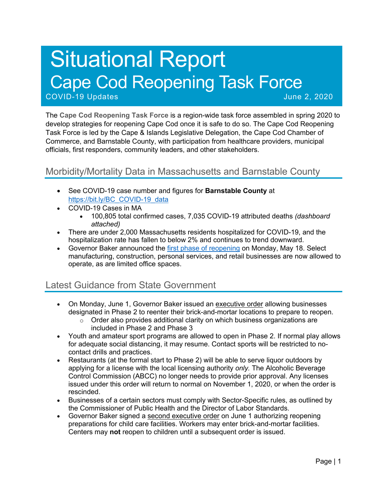# Situational Report Cape Cod Reopening Task Force

COVID-19 Updates June 2, 2020

The **Cape Cod Reopening Task Force** is a region-wide task force assembled in spring 2020 to develop strategies for reopening Cape Cod once it is safe to do so. The Cape Cod Reopening Task Force is led by the Cape & Islands Legislative Delegation, the Cape Cod Chamber of Commerce, and Barnstable County, with participation from healthcare providers, municipal officials, first responders, community leaders, and other stakeholders.

## Morbidity/Mortality Data in Massachusetts and Barnstable County

- See COVID-19 case number and figures for **Barnstable County** at https://bit.ly/BC\_COVID-19\_data
- COVID-19 Cases in MA
	- 100,805 total confirmed cases, 7,035 COVID-19 attributed deaths *(dashboard attached)*
- There are under 2,000 Massachusetts residents hospitalized for COVID-19, and the hospitalization rate has fallen to below 2% and continues to trend downward.
- Governor Baker announced the first phase of reopening on Monday, May 18. Select manufacturing, construction, personal services, and retail businesses are now allowed to operate, as are limited office spaces.

## Latest Guidance from State Government

- On Monday, June 1, Governor Baker issued an executive order allowing businesses designated in Phase 2 to reenter their brick-and-mortar locations to prepare to reopen.
	- $\circ$  Order also provides additional clarity on which business organizations are included in Phase 2 and Phase 3
- Youth and amateur sport programs are allowed to open in Phase 2. If normal play allows for adequate social distancing, it may resume. Contact sports will be restricted to nocontact drills and practices.
- Restaurants (at the formal start to Phase 2) will be able to serve liquor outdoors by applying for a license with the local licensing authority *only.* The Alcoholic Beverage Control Commission (ABCC) no longer needs to provide prior approval. Any licenses issued under this order will return to normal on November 1, 2020, or when the order is rescinded.
- Businesses of a certain sectors must comply with Sector-Specific rules, as outlined by the Commissioner of Public Health and the Director of Labor Standards.
- Governor Baker signed a second executive order on June 1 authorizing reopening preparations for child care facilities. Workers may enter brick-and-mortar facilities. Centers may **not** reopen to children until a subsequent order is issued.